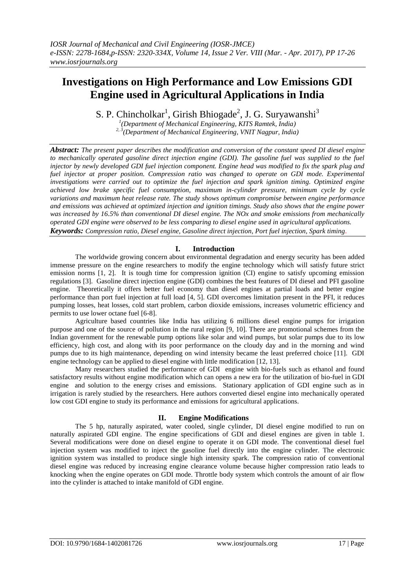# **Investigations on High Performance and Low Emissions GDI Engine used in Agricultural Applications in India**

S. P. Chincholkar<sup>1</sup>, Girish Bhiogade<sup>2</sup>, J. G. Suryawanshi<sup>3</sup>

*1 (Department of Mechanical Engineering, KITS Ramtek, India)*

*2, 3(Department of Mechanical Engineering, VNIT Nagpur, India)*

*Abstract: The present paper describes the modification and conversion of the constant speed DI diesel engine to mechanically operated gasoline direct injection engine (GDI). The gasoline fuel was supplied to the fuel injector by newly developed GDI fuel injection component. Engine head was modified to fix the spark plug and fuel injector at proper position. Compression ratio was changed to operate on GDI mode. Experimental investigations were carried out to optimize the fuel injection and spark ignition timing. Optimized engine achieved low brake specific fuel consumption, maximum in-cylinder pressure, minimum cycle by cycle variations and maximum heat release rate. The study shows optimum compromise between engine performance and emissions was achieved at optimized injection and ignition timings. Study also shows that the engine power was increased by 16.5% than conventional DI diesel engine. The NOx and smoke emissions from mechanically operated GDI engine were observed to be less comparing to diesel engine used in agricultural applications. Keywords: Compression ratio, Diesel engine, Gasoline direct injection, Port fuel injection, Spark timing.*

# **I. Introduction**

The worldwide growing concern about environmental degradation and energy security has been added immense pressure on the engine researchers to modify the engine technology which will satisfy future strict emission norms [1, 2]. It is tough time for compression ignition (CI) engine to satisfy upcoming emission regulations [3]. Gasoline direct injection engine (GDI) combines the best features of DI diesel and PFI gasoline engine. Theoretically it offers better fuel economy than diesel engines at partial loads and better engine performance than port fuel injection at full load [4, 5]. GDI overcomes limitation present in the PFI, it reduces pumping losses, heat losses, cold start problem, carbon dioxide emissions, increases volumetric efficiency and permits to use lower octane fuel [6-8].

Agriculture based countries like India has utilizing 6 millions diesel engine pumps for irrigation purpose and one of the source of pollution in the rural region [9, 10]. There are promotional schemes from the Indian government for the renewable pump options like solar and wind pumps, but solar pumps due to its low efficiency, high cost, and along with its poor performance on the cloudy day and in the morning and wind pumps due to its high maintenance, depending on wind intensity became the least preferred choice [11]. GDI engine technology can be applied to diesel engine with little modification [12, 13].

Many researchers studied the performance of GDI engine with bio-fuels such as ethanol and found satisfactory results without engine modification which can opens a new era for the utilization of bio-fuel in GDI engine and solution to the energy crises and emissions. Stationary application of GDI engine such as in irrigation is rarely studied by the researchers. Here authors converted diesel engine into mechanically operated low cost GDI engine to study its performance and emissions for agricultural applications.

# **II. Engine Modifications**

The 5 hp, naturally aspirated, water cooled, single cylinder, DI diesel engine modified to run on naturally aspirated GDI engine. The engine specifications of GDI and diesel engines are given in table 1. Several modifications were done on diesel engine to operate it on GDI mode. The conventional diesel fuel injection system was modified to inject the gasoline fuel directly into the engine cylinder. The electronic ignition system was installed to produce single high intensity spark. The compression ratio of conventional diesel engine was reduced by increasing engine clearance volume because higher compression ratio leads to knocking when the engine operates on GDI mode. Throttle body system which controls the amount of air flow into the cylinder is attached to intake manifold of GDI engine.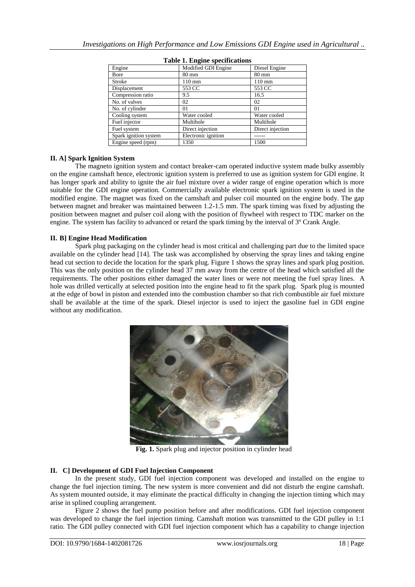| Engine                | Modified GDI Engine | Diesel Engine    |
|-----------------------|---------------------|------------------|
| Bore                  | $80 \text{ mm}$     | $80 \text{ mm}$  |
| Stroke                | $110 \text{ mm}$    | $110 \text{ mm}$ |
| Displacement          | 553 CC              | 553 CC           |
| Compression ratio     | 9.5                 | 16.5             |
| No. of valves         | 02                  | 02               |
| No. of cylinder       | 01                  | 01               |
| Cooling system        | Water cooled        | Water cooled     |
| Fuel injector         | Multihole           | Multihole        |
| Fuel system           | Direct injection    | Direct injection |
| Spark ignition system | Electronic ignition |                  |
| Engine speed (rpm)    | 1350                | 1500             |

**Table 1. Engine specifications**

### **II. A] Spark Ignition System**

The magneto ignition system and contact breaker-cam operated inductive system made bulky assembly on the engine camshaft hence, electronic ignition system is preferred to use as ignition system for GDI engine. It has longer spark and ability to ignite the air fuel mixture over a wider range of engine operation which is more suitable for the GDI engine operation. Commercially available electronic spark ignition system is used in the modified engine. The magnet was fixed on the camshaft and pulser coil mounted on the engine body. The gap between magnet and breaker was maintained between 1.2-1.5 mm. The spark timing was fixed by adjusting the position between magnet and pulser coil along with the position of flywheel with respect to TDC marker on the engine. The system has facility to advanced or retard the spark timing by the interval of 3º Crank Angle.

### **II. B] Engine Head Modification**

Spark plug packaging on the cylinder head is most critical and challenging part due to the limited space available on the cylinder head [14]. The task was accomplished by observing the spray lines and taking engine head cut section to decide the location for the spark plug. Figure 1 shows the spray lines and spark plug position. This was the only position on the cylinder head 37 mm away from the centre of the head which satisfied all the requirements. The other positions either damaged the water lines or were not meeting the fuel spray lines. A hole was drilled vertically at selected position into the engine head to fit the spark plug. Spark plug is mounted at the edge of bowl in piston and extended into the combustion chamber so that rich combustible air fuel mixture shall be available at the time of the spark. Diesel injector is used to inject the gasoline fuel in GDI engine without any modification.



**Fig. 1.** Spark plug and injector position in cylinder head

### **II. C] Development of GDI Fuel Injection Component**

In the present study, GDI fuel injection component was developed and installed on the engine to change the fuel injection timing. The new system is more convenient and did not disturb the engine camshaft. As system mounted outside, it may eliminate the practical difficulty in changing the injection timing which may arise in splined coupling arrangement.

Figure 2 shows the fuel pump position before and after modifications. GDI fuel injection component was developed to change the fuel injection timing. Camshaft motion was transmitted to the GDI pulley in 1:1 ratio. The GDI pulley connected with GDI fuel injection component which has a capability to change injection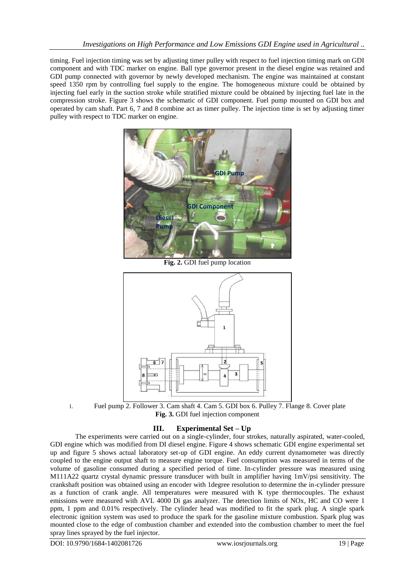timing. Fuel injection timing was set by adjusting timer pulley with respect to fuel injection timing mark on GDI component and with TDC marker on engine. Ball type governor present in the diesel engine was retained and GDI pump connected with governor by newly developed mechanism. The engine was maintained at constant speed 1350 rpm by controlling fuel supply to the engine. The homogeneous mixture could be obtained by injecting fuel early in the suction stroke while stratified mixture could be obtained by injecting fuel late in the compression stroke. Figure 3 shows the schematic of GDI component. Fuel pump mounted on GDI box and operated by cam shaft. Part 6, 7 and 8 combine act as timer pulley. The injection time is set by adjusting timer pulley with respect to TDC marker on engine.



**Fig. 2.** GDI fuel pump location





# **III. Experimental Set – Up**

The experiments were carried out on a single-cylinder, four strokes, naturally aspirated, water-cooled, GDI engine which was modified from DI diesel engine. Figure 4 shows schematic GDI engine experimental set up and figure 5 shows actual laboratory set-up of GDI engine. An eddy current dynamometer was directly coupled to the engine output shaft to measure engine torque. Fuel consumption was measured in terms of the volume of gasoline consumed during a specified period of time. In-cylinder pressure was measured using M111A22 quartz crystal dynamic pressure transducer with built in amplifier having 1mV/psi sensitivity. The crankshaft position was obtained using an encoder with 1degree resolution to determine the in-cylinder pressure as a function of crank angle. All temperatures were measured with K type thermocouples. The exhaust emissions were measured with AVL 4000 Di gas analyzer. The detection limits of NOx, HC and CO were 1 ppm, 1 ppm and 0.01% respectively. The cylinder head was modified to fit the spark plug. A single spark electronic ignition system was used to produce the spark for the gasoline mixture combustion. Spark plug was mounted close to the edge of combustion chamber and extended into the combustion chamber to meet the fuel spray lines sprayed by the fuel injector.

DOI: 10.9790/1684-1402081726 www.iosrjournals.org 19 | Page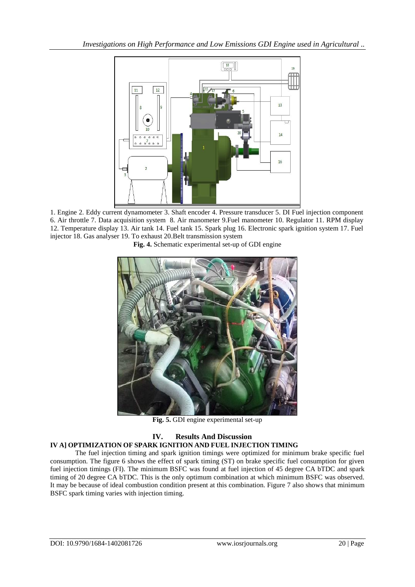

1. Engine 2. Eddy current dynamometer 3. Shaft encoder 4. Pressure transducer 5. DI Fuel injection component 6. Air throttle 7. Data acquisition system 8. Air manometer 9.Fuel manometer 10. Regulator 11. RPM display 12. Temperature display 13. Air tank 14. Fuel tank 15. Spark plug 16. Electronic spark ignition system 17. Fuel injector 18. Gas analyser 19. To exhaust 20.Belt transmission system

**Fig. 4.** Schematic experimental set-up of GDI engine



**Fig. 5.** GDI engine experimental set-up

#### **IV. Results And Discussion IV A] OPTIMIZATION OF SPARK IGNITION AND FUEL INJECTION TIMING**

The fuel injection timing and spark ignition timings were optimized for minimum brake specific fuel consumption. The figure 6 shows the effect of spark timing (ST) on brake specific fuel consumption for given fuel injection timings (FI). The minimum BSFC was found at fuel injection of 45 degree CA bTDC and spark timing of 20 degree CA bTDC. This is the only optimum combination at which minimum BSFC was observed. It may be because of ideal combustion condition present at this combination. Figure 7 also shows that minimum BSFC spark timing varies with injection timing.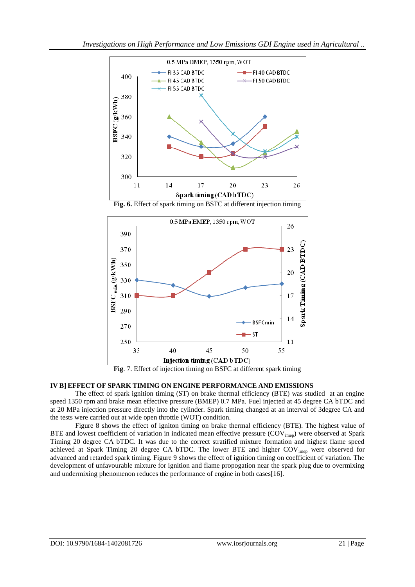

**Fig. 6.** Effect of spark timing on BSFC at different injection timing



**Fig**. 7. Effect of injection timing on BSFC at different spark timing

## **IV B] EFFECT OF SPARK TIMING ON ENGINE PERFORMANCE AND EMISSIONS**

The effect of spark ignition timing (ST) on brake thermal efficiency (BTE) was studied at an engine speed 1350 rpm and brake mean effective pressure (BMEP) 0.7 MPa. Fuel injected at 45 degree CA bTDC and at 20 MPa injection pressure directly into the cylinder. Spark timing changed at an interval of 3degree CA and the tests were carried out at wide open throttle (WOT) condition.

Figure 8 shows the effect of igniton timing on brake thermal efficiency (BTE). The highest value of BTE and lowest coefficient of variation in indicated mean effective pressure (COV<sub>imep</sub>) were observed at Spark Timing 20 degree CA bTDC. It was due to the correct stratified mixture formation and highest flame speed achieved at Spark Timing 20 degree CA bTDC. The lower BTE and higher COV<sub>imep</sub> were observed for advanced and retarded spark timing. Figure 9 shows the effect of ignition timing on coefficient of variation. The development of unfavourable mixture for ignition and flame propogation near the spark plug due to overmixing and undermixing phenomenon reduces the performance of engine in both cases[16].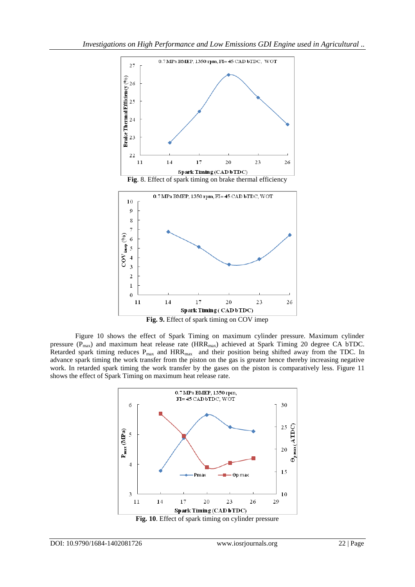

**Fig. 9.** Effect of spark timing on COV imep

Figure 10 shows the effect of Spark Timing on maximum cylinder pressure. Maximum cylinder pressure  $(P_{\text{max}})$  and maximum heat release rate  $(HRR_{\text{max}})$  achieved at Spark Timing 20 degree CA bTDC. Retarded spark timing reduces  $P_{max}$  and  $HRR_{max}$  and their position being shifted away from the TDC. In advance spark timing the work transfer from the piston on the gas is greater hence thereby increasing negative work. In retarded spark timing the work transfer by the gases on the piston is comparatively less. Figure 11 shows the effect of Spark Timing on maximum heat release rate.

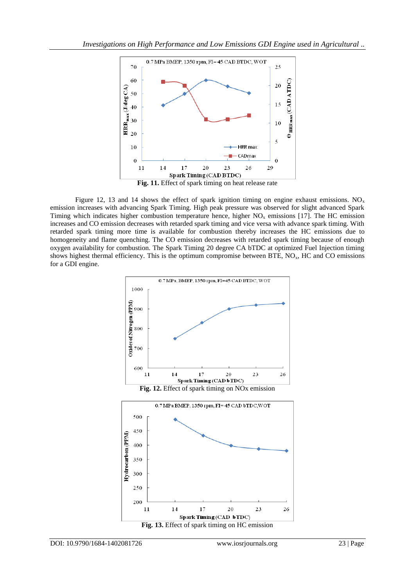

**Fig. 11.** Effect of spark timing on heat release rate

Figure 12, 13 and 14 shows the effect of spark ignition timing on engine exhaust emissions.  $NO<sub>x</sub>$ emission increases with advancing Spark Timing. High peak pressure was observed for slight advanced Spark Timing which indicates higher combustion temperature hence, higher  $NO<sub>x</sub>$  emissions [17]. The HC emission increases and CO emission decreases with retarded spark timing and vice versa with advance spark timing. With retarded spark timing more time is available for combustion thereby increases the HC emissions due to homogeneity and flame quenching. The CO emission decreases with retarded spark timing because of enough oxygen availability for combustion. The Spark Timing 20 degree CA bTDC at optimized Fuel Injection timing shows highest thermal efficiency. This is the optimum compromise between BTE,  $NO<sub>x</sub>$ , HC and CO emissions for a GDI engine.

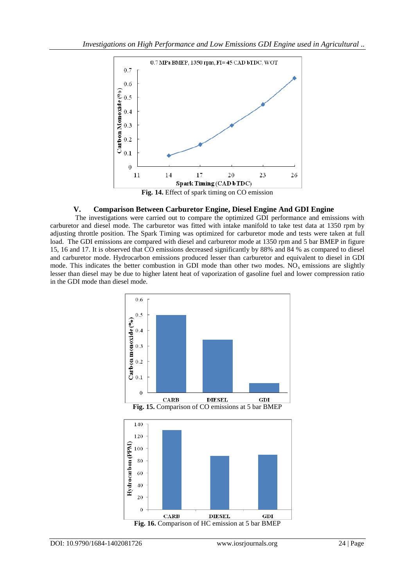

### **V. Comparison Between Carburetor Engine, Diesel Engine And GDI Engine**

The investigations were carried out to compare the optimized GDI performance and emissions with carburetor and diesel mode. The carburetor was fitted with intake manifold to take test data at 1350 rpm by adjusting throttle position. The Spark Timing was optimized for carburetor mode and tests were taken at full load. The GDI emissions are compared with diesel and carburetor mode at 1350 rpm and 5 bar BMEP in figure 15, 16 and 17. It is observed that CO emissions decreased significantly by 88% and 84 % as compared to diesel and carburetor mode. Hydrocarbon emissions produced lesser than carburetor and equivalent to diesel in GDI mode. This indicates the better combustion in GDI mode than other two modes.  $NO<sub>x</sub>$  emissions are slightly lesser than diesel may be due to higher latent heat of vaporization of gasoline fuel and lower compression ratio in the GDI mode than diesel mode.



**Fig. 15.** Comparison of CO emissions at 5 bar BMEP

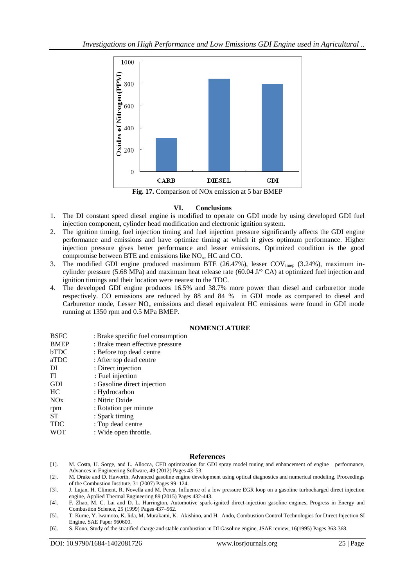

**Fig. 17.** Comparison of NOx emission at 5 bar BMEP

### **VI. Conclusions**

- 1. The DI constant speed diesel engine is modified to operate on GDI mode by using developed GDI fuel injection component, cylinder head modification and electronic ignition system.
- 2. The ignition timing, fuel injection timing and fuel injection pressure significantly affects the GDI engine performance and emissions and have optimize timing at which it gives optimum performance. Higher injection pressure gives better performance and lesser emissions. Optimized condition is the good compromise between BTE and emissions like  $NO<sub>x</sub>$ , HC and CO.
- 3. The modified GDI engine produced maximum BTE (26.47%), lesser  $COV<sub>imep</sub>$  (3.24%), maximum incylinder pressure (5.68 MPa) and maximum heat release rate (60.04 J/ $\degree$  CA) at optimized fuel injection and ignition timings and their location were nearest to the TDC.
- 4. The developed GDI engine produces 16.5% and 38.7% more power than diesel and carburettor mode respectively. CO emissions are reduced by 88 and 84 % in GDI mode as compared to diesel and Carburettor mode, Lesser  $NO<sub>x</sub>$  emissions and diesel equivalent HC emissions were found in GDI mode running at 1350 rpm and 0.5 MPa BMEP.

#### **NOMENCLATURE**

| <b>BSFC</b> | : Brake specific fuel consumption |
|-------------|-----------------------------------|
| <b>BMEP</b> | : Brake mean effective pressure   |
| <b>bTDC</b> | : Before top dead centre          |
| aTDC        | : After top dead centre           |
| DI          | : Direct injection                |
| FI          | : Fuel injection                  |
| <b>GDI</b>  | : Gasoline direct injection       |
| HC          | : Hydrocarbon                     |
| NOx         | : Nitric Oxide                    |
| rpm         | : Rotation per minute             |
| ST          | : Spark timing                    |
| <b>TDC</b>  | : Top dead centre                 |
| <b>WOT</b>  | : Wide open throttle.             |
|             |                                   |

### **References**

- [1]. M. Costa, U. Sorge, and L. Allocca, CFD optimization for GDI spray model tuning and enhancement of engine performance, Advances in Engineering Software, 49 (2012) Pages 43–53.
- [2]. M. Drake and D. Haworth, Advanced gasoline engine development using optical diagnostics and numerical modeling, Proceedings of the Combustion Institute, 31 (2007) Pages 99–124.
- [3]. J. Lujan, H. Climent, R. Novella and M. Perea, Influence of a low pressure EGR loop on a gasoline turbocharged direct injection engine, Applied Thermal Engineering 89 (2015) Pages 432-443.
- [4]. F. Zhao, M. C. Lai and D. L. Harrington, Automotive spark-ignited direct-injection gasoline engines, Progress in Energy and Combustion Science, 25 (1999) Pages 437–562.
- [5]. T. Kume, Y. lwamoto, K. lida, M. Murakami, K. Akishino, and H. Ando, Combustion Control Technologies for Direct Injection SI Engine. SAE Paper 960600.
- [6]. S. Kono, Study of the stratified charge and stable combustion in DI Gasoline engine, JSAE review, 16(1995) Pages 363-368.